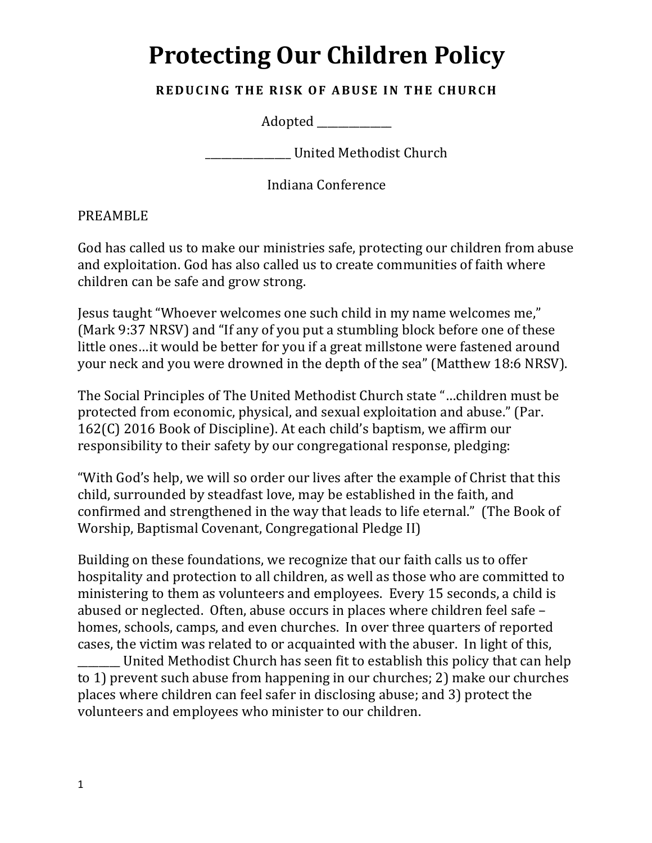#### **REDUCING THE RISK OF ABUSE IN THE CHURCH**

Adopted \_\_\_\_\_\_\_\_\_\_\_\_\_\_

\_\_\_\_\_\_\_\_\_\_\_\_\_\_\_\_ United Methodist Church

Indiana Conference

PREAMBLE

God has called us to make our ministries safe, protecting our children from abuse and exploitation. God has also called us to create communities of faith where children can be safe and grow strong.

Jesus taught "Whoever welcomes one such child in my name welcomes me," (Mark 9:37 NRSV) and "If any of you put a stumbling block before one of these little ones…it would be better for you if a great millstone were fastened around your neck and you were drowned in the depth of the sea" (Matthew 18:6 NRSV).

The Social Principles of The United Methodist Church state "...children must be protected from economic, physical, and sexual exploitation and abuse." (Par. 162(C) 2016 Book of Discipline). At each child's baptism, we affirm our responsibility to their safety by our congregational response, pledging:

"With God's help, we will so order our lives after the example of Christ that this child, surrounded by steadfast love, may be established in the faith, and confirmed and strengthened in the way that leads to life eternal." (The Book of Worship, Baptismal Covenant, Congregational Pledge II)

Building on these foundations, we recognize that our faith calls us to offer hospitality and protection to all children, as well as those who are committed to ministering to them as volunteers and employees. Every 15 seconds, a child is abused or neglected. Often, abuse occurs in places where children feel safe homes, schools, camps, and even churches. In over three quarters of reported cases, the victim was related to or acquainted with the abuser. In light of this,

United Methodist Church has seen fit to establish this policy that can help to 1) prevent such abuse from happening in our churches; 2) make our churches places where children can feel safer in disclosing abuse; and 3) protect the volunteers and employees who minister to our children.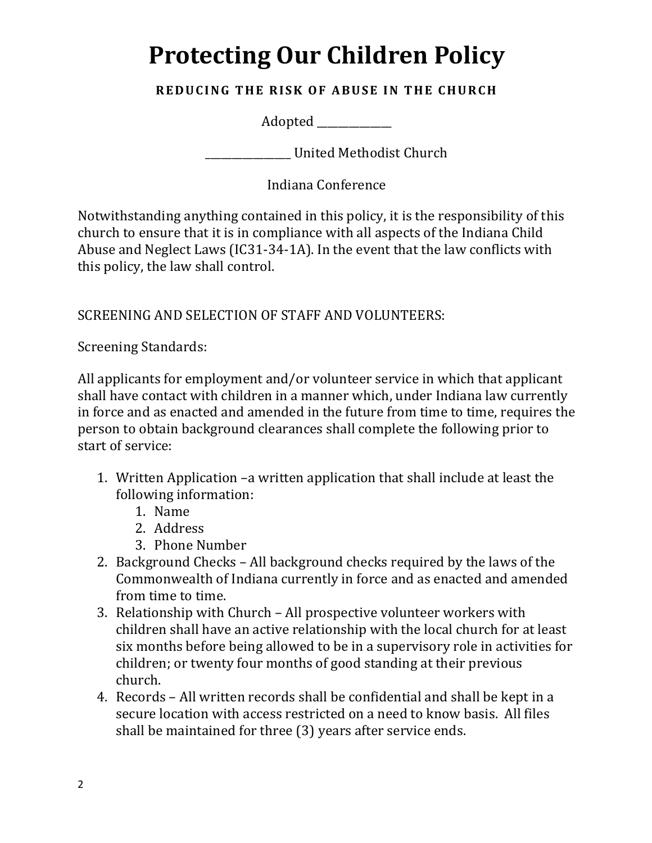### **REDUCING THE RISK OF ABUSE IN THE CHURCH**

Adopted \_\_\_\_\_\_\_\_\_

\_\_\_\_\_\_\_\_\_\_\_\_\_\_\_\_ United Methodist Church

Indiana Conference

Notwithstanding anything contained in this policy, it is the responsibility of this church to ensure that it is in compliance with all aspects of the Indiana Child Abuse and Neglect Laws (IC31-34-1A). In the event that the law conflicts with this policy, the law shall control.

SCREENING AND SELECTION OF STAFF AND VOLUNTEERS:

Screening Standards:

All applicants for employment and/or volunteer service in which that applicant shall have contact with children in a manner which, under Indiana law currently in force and as enacted and amended in the future from time to time, requires the person to obtain background clearances shall complete the following prior to start of service:

- 1. Written Application -a written application that shall include at least the following information:
	- 1. Name
	- 2. Address
	- 3. Phone Number
- 2. Background Checks All background checks required by the laws of the Commonwealth of Indiana currently in force and as enacted and amended from time to time.
- 3. Relationship with Church All prospective volunteer workers with children shall have an active relationship with the local church for at least six months before being allowed to be in a supervisory role in activities for children; or twenty four months of good standing at their previous church.
- 4. Records All written records shall be confidential and shall be kept in a secure location with access restricted on a need to know basis. All files shall be maintained for three (3) years after service ends.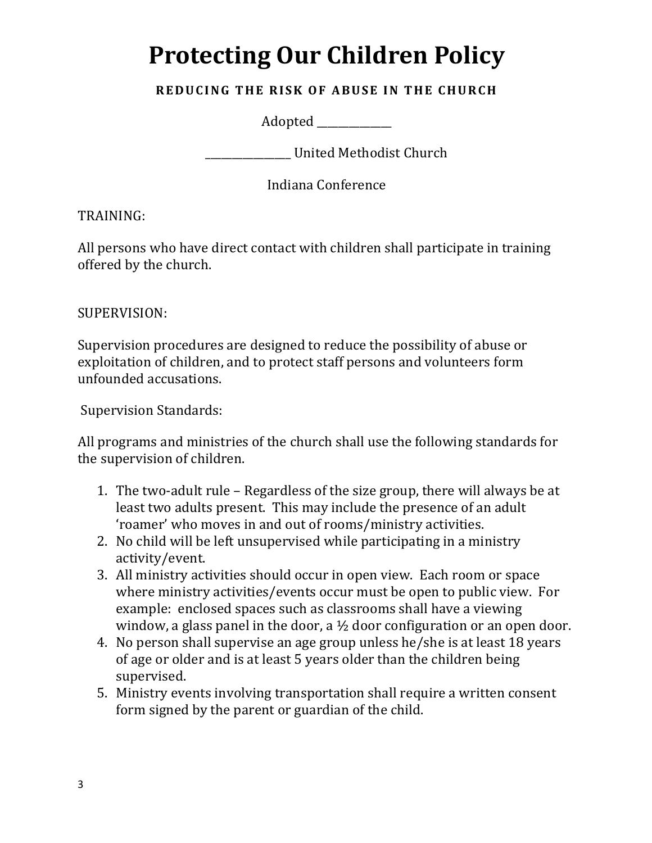### **REDUCING THE RISK OF ABUSE IN THE CHURCH**

Adopted \_\_\_\_\_\_\_\_\_\_\_\_\_\_

\_\_\_\_\_\_\_\_\_\_\_\_\_\_\_\_ United Methodist Church

Indiana Conference

TRAINING:

All persons who have direct contact with children shall participate in training offered by the church.

#### SUPERVISION:

Supervision procedures are designed to reduce the possibility of abuse or exploitation of children, and to protect staff persons and volunteers form unfounded accusations.

Supervision Standards:

All programs and ministries of the church shall use the following standards for the supervision of children.

- 1. The two-adult rule Regardless of the size group, there will always be at least two adults present. This may include the presence of an adult 'roamer' who moves in and out of rooms/ministry activities.
- 2. No child will be left unsupervised while participating in a ministry activity/event.
- 3. All ministry activities should occur in open view. Each room or space where ministry activities/events occur must be open to public view. For example: enclosed spaces such as classrooms shall have a viewing window, a glass panel in the door, a  $\frac{1}{2}$  door configuration or an open door.
- 4. No person shall supervise an age group unless he/she is at least 18 years of age or older and is at least 5 years older than the children being supervised.
- 5. Ministry events involving transportation shall require a written consent form signed by the parent or guardian of the child.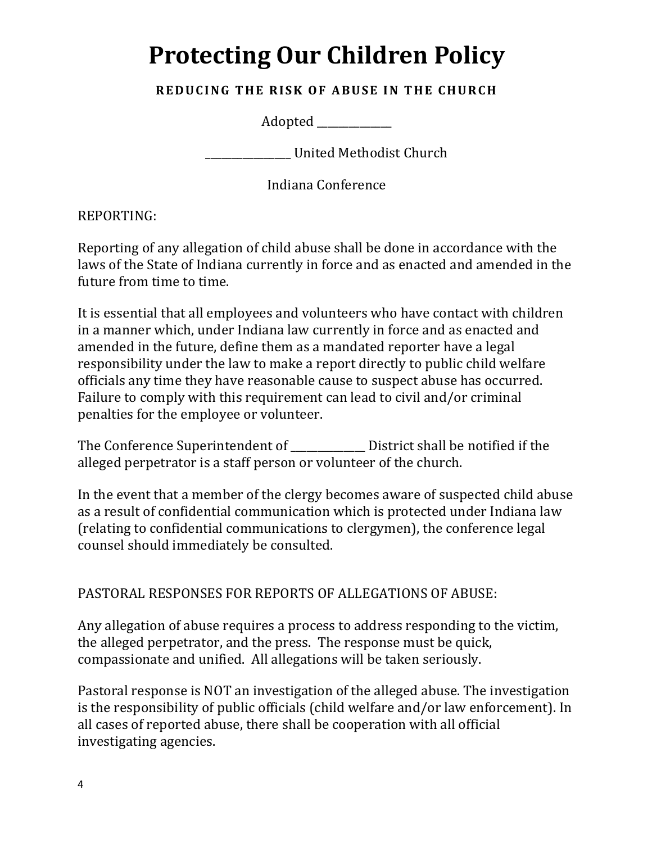#### **REDUCING THE RISK OF ABUSE IN THE CHURCH**

Adopted \_\_\_\_\_\_\_\_\_

\_\_\_\_\_\_\_\_\_\_\_\_\_\_\_\_ United Methodist Church

Indiana Conference

REPORTING:

Reporting of any allegation of child abuse shall be done in accordance with the laws of the State of Indiana currently in force and as enacted and amended in the future from time to time.

It is essential that all employees and volunteers who have contact with children in a manner which, under Indiana law currently in force and as enacted and amended in the future, define them as a mandated reporter have a legal responsibility under the law to make a report directly to public child welfare officials any time they have reasonable cause to suspect abuse has occurred. Failure to comply with this requirement can lead to civil and/or criminal penalties for the employee or volunteer.

The Conference Superintendent of The District shall be notified if the alleged perpetrator is a staff person or volunteer of the church.

In the event that a member of the clergy becomes aware of suspected child abuse as a result of confidential communication which is protected under Indiana law (relating to confidential communications to clergymen), the conference legal counsel should immediately be consulted.

PASTORAL RESPONSES FOR REPORTS OF ALLEGATIONS OF ABUSE:

Any allegation of abuse requires a process to address responding to the victim, the alleged perpetrator, and the press. The response must be quick, compassionate and unified. All allegations will be taken seriously.

Pastoral response is NOT an investigation of the alleged abuse. The investigation is the responsibility of public officials (child welfare and/or law enforcement). In all cases of reported abuse, there shall be cooperation with all official investigating agencies.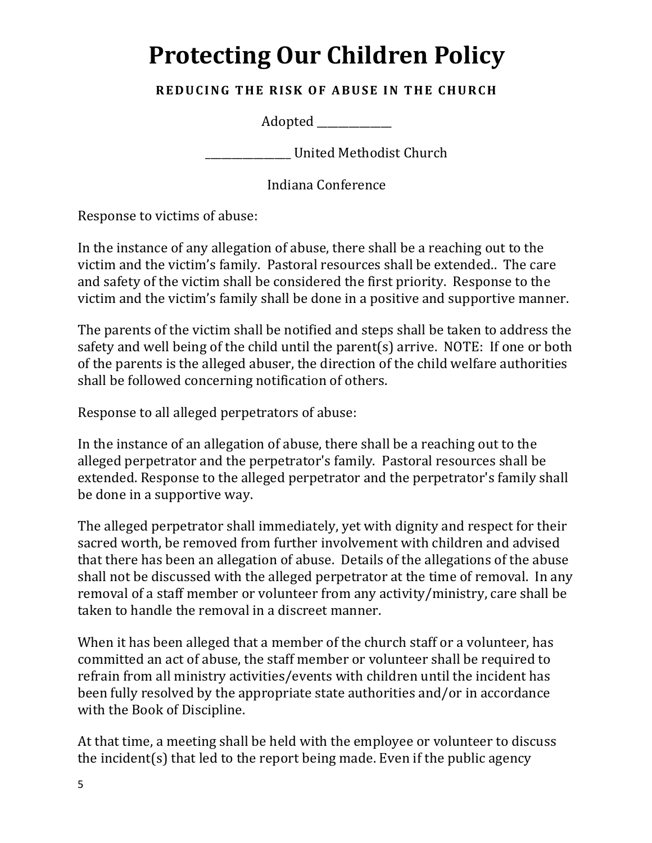### **REDUCING THE RISK OF ABUSE IN THE CHURCH**

Adopted \_\_\_\_\_\_\_\_\_\_\_\_\_\_

\_\_\_\_\_\_\_\_\_\_\_\_\_\_\_\_ United Methodist Church

Indiana Conference

Response to victims of abuse:

In the instance of any allegation of abuse, there shall be a reaching out to the victim and the victim's family. Pastoral resources shall be extended.. The care and safety of the victim shall be considered the first priority. Response to the victim and the victim's family shall be done in a positive and supportive manner.

The parents of the victim shall be notified and steps shall be taken to address the safety and well being of the child until the parent(s) arrive. NOTE: If one or both of the parents is the alleged abuser, the direction of the child welfare authorities shall be followed concerning notification of others.

Response to all alleged perpetrators of abuse:

In the instance of an allegation of abuse, there shall be a reaching out to the alleged perpetrator and the perpetrator's family. Pastoral resources shall be extended. Response to the alleged perpetrator and the perpetrator's family shall be done in a supportive way.

The alleged perpetrator shall immediately, yet with dignity and respect for their sacred worth, be removed from further involvement with children and advised that there has been an allegation of abuse. Details of the allegations of the abuse shall not be discussed with the alleged perpetrator at the time of removal. In any removal of a staff member or volunteer from any activity/ministry, care shall be taken to handle the removal in a discreet manner.

When it has been alleged that a member of the church staff or a volunteer, has committed an act of abuse, the staff member or volunteer shall be required to refrain from all ministry activities/events with children until the incident has been fully resolved by the appropriate state authorities and/or in accordance with the Book of Discipline.

At that time, a meeting shall be held with the employee or volunteer to discuss the incident(s) that led to the report being made. Even if the public agency